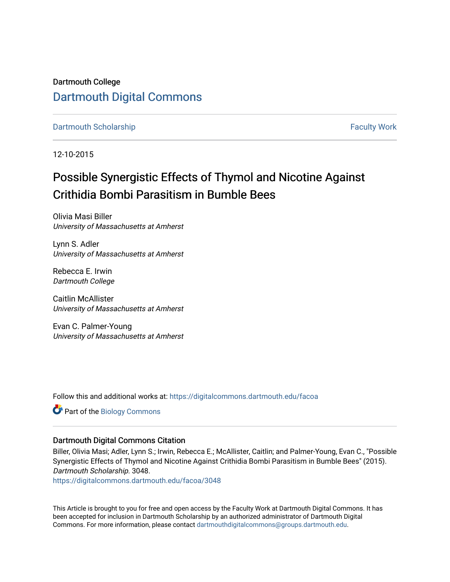Dartmouth College [Dartmouth Digital Commons](https://digitalcommons.dartmouth.edu/) 

[Dartmouth Scholarship](https://digitalcommons.dartmouth.edu/facoa) [Faculty Work](https://digitalcommons.dartmouth.edu/faculty) and The Basic Scholarship Faculty Work Faculty Work

12-10-2015

# Possible Synergistic Effects of Thymol and Nicotine Against Crithidia Bombi Parasitism in Bumble Bees

Olivia Masi Biller University of Massachusetts at Amherst

Lynn S. Adler University of Massachusetts at Amherst

Rebecca E. Irwin Dartmouth College

Caitlin McAllister University of Massachusetts at Amherst

Evan C. Palmer-Young University of Massachusetts at Amherst

Follow this and additional works at: [https://digitalcommons.dartmouth.edu/facoa](https://digitalcommons.dartmouth.edu/facoa?utm_source=digitalcommons.dartmouth.edu%2Ffacoa%2F3048&utm_medium=PDF&utm_campaign=PDFCoverPages)

Part of the [Biology Commons](http://network.bepress.com/hgg/discipline/41?utm_source=digitalcommons.dartmouth.edu%2Ffacoa%2F3048&utm_medium=PDF&utm_campaign=PDFCoverPages) 

#### Dartmouth Digital Commons Citation

Biller, Olivia Masi; Adler, Lynn S.; Irwin, Rebecca E.; McAllister, Caitlin; and Palmer-Young, Evan C., "Possible Synergistic Effects of Thymol and Nicotine Against Crithidia Bombi Parasitism in Bumble Bees" (2015). Dartmouth Scholarship. 3048.

[https://digitalcommons.dartmouth.edu/facoa/3048](https://digitalcommons.dartmouth.edu/facoa/3048?utm_source=digitalcommons.dartmouth.edu%2Ffacoa%2F3048&utm_medium=PDF&utm_campaign=PDFCoverPages) 

This Article is brought to you for free and open access by the Faculty Work at Dartmouth Digital Commons. It has been accepted for inclusion in Dartmouth Scholarship by an authorized administrator of Dartmouth Digital Commons. For more information, please contact [dartmouthdigitalcommons@groups.dartmouth.edu](mailto:dartmouthdigitalcommons@groups.dartmouth.edu).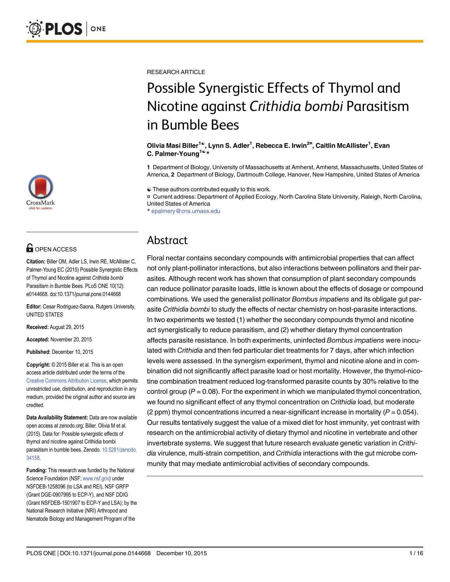

# **G** OPEN ACCESS

Citation: Biller OM, Adler LS, Irwin RE, McAllister C, Palmer-Young EC (2015) Possible Synergistic Effects of Thymol and Nicotine against Crithidia bombi Parasitism in Bumble Bees. PLoS ONE 10(12): e0144668. doi:10.1371/journal.pone.0144668

Editor: Cesar Rodriguez-Saona, Rutgers University, UNITED STATES

Received: August 29, 2015

Accepted: November 20, 2015

Published: December 10, 2015

Copyright: © 2015 Biller et al. This is an open access article distributed under the terms of the [Creative Commons Attribution License,](http://creativecommons.org/licenses/by/4.0/) which permits unrestricted use, distribution, and reproduction in any medium, provided the original author and source are credited.

Data Availability Statement: Data are now available open access at zenodo.org: Biller, Olivia M et al. (2015). Data for: Possible synergistic effects of thymol and nicotine against Crithidia bombi parasitism in bumble bees. Zenodo. [10.5281/zenodo.](http://dx.doi.org/10.5281/zenodo.34158) [34158.](http://dx.doi.org/10.5281/zenodo.34158)

Funding: This research was funded by the National Science Foundation (NSF; [www.nsf.gov\)](http://www.nsf.gov) under NSFDEB-1258096 (to LSA and REI), NSF GRFP (Grant DGE-0907995 to ECP-Y), and NSF DDIG (Grant NSFDEB-1501907 to ECP-Y and LSA); by the National Research Initiative (NRI) Arthropod and Nematode Biology and Management Program of the

RESEARCH ARTICLE

# Possible Synergistic Effects of Thymol and Nicotine against Crithidia bombi Parasitism in Bumble Bees

Olivia Masi Biller<sup>1©</sup>, Lynn S. Adler<sup>1</sup>, Rebecca E. Irwin<sup>2¤</sup>, Caitlin McAllister<sup>1</sup>, Evan C. Palmer-Young<sup>1©\*</sup>

1 Department of Biology, University of Massachusetts at Amherst, Amherst, Massachusetts, United States of America, 2 Department of Biology, Dartmouth College, Hanover, New Hampshire, United States of America

☯ These authors contributed equally to this work.

¤ Current address: Department of Applied Ecology, North Carolina State University, Raleigh, North Carolina, United States of America

\* epalmery@cns.umass.edu

# Abstract

Floral nectar contains secondary compounds with antimicrobial properties that can affect not only plant-pollinator interactions, but also interactions between pollinators and their parasites. Although recent work has shown that consumption of plant secondary compounds can reduce pollinator parasite loads, little is known about the effects of dosage or compound combinations. We used the generalist pollinator Bombus impatiens and its obligate gut parasite Crithidia bombi to study the effects of nectar chemistry on host-parasite interactions. In two experiments we tested (1) whether the secondary compounds thymol and nicotine act synergistically to reduce parasitism, and (2) whether dietary thymol concentration affects parasite resistance. In both experiments, uninfected Bombus impatiens were inoculated with Crithidia and then fed particular diet treatments for 7 days, after which infection levels were assessed. In the synergism experiment, thymol and nicotine alone and in combination did not significantly affect parasite load or host mortality. However, the thymol-nicotine combination treatment reduced log-transformed parasite counts by 30% relative to the control group ( $P = 0.08$ ). For the experiment in which we manipulated thymol concentration, we found no significant effect of any thymol concentration on *Crithidia* load, but moderate (2 ppm) thymol concentrations incurred a near-significant increase in mortality ( $P = 0.054$ ). Our results tentatively suggest the value of a mixed diet for host immunity, yet contrast with research on the antimicrobial activity of dietary thymol and nicotine in vertebrate and other invertebrate systems. We suggest that future research evaluate genetic variation in Crithidia virulence, multi-strain competition, and Crithidia interactions with the gut microbe community that may mediate antimicrobial activities of secondary compounds.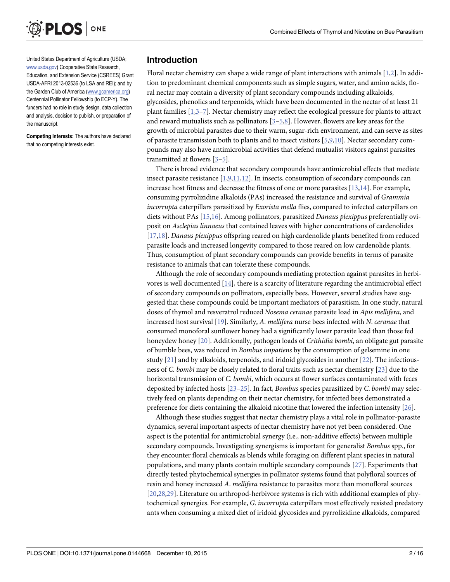<span id="page-2-0"></span>

United States Department of Agriculture (USDA; [www.usda.gov](http://www.usda.gov)) Cooperative State Research, Education, and Extension Service (CSREES) Grant USDA-AFRI 2013-02536 (to LSA and REI); and by the Garden Club of America [\(www.gcamerica.org\)](http://www.gcamerica.org) Centennial Pollinator Fellowship (to ECP-Y). The funders had no role in study design, data collection and analysis, decision to publish, or preparation of the manuscript.

Competing Interests: The authors have declared that no competing interests exist.

#### Introduction

Floral nectar chemistry can shape a wide range of plant interactions with animals  $[1,2]$  $[1,2]$  $[1,2]$  $[1,2]$  $[1,2]$ . In addition to predominant chemical components such as simple sugars, water, and amino acids, floral nectar may contain a diversity of plant secondary compounds including alkaloids, glycosides, phenolics and terpenoids, which have been documented in the nectar of at least 21 plant families  $[1,3-7]$  $[1,3-7]$  $[1,3-7]$  $[1,3-7]$ . Nectar chemistry may reflect the ecological pressure for plants to attract and reward mutualists such as pollinators  $[3-5,8]$  $[3-5,8]$  $[3-5,8]$ . However, flowers are key areas for the growth of microbial parasites due to their warm, sugar-rich environment, and can serve as sites of parasite transmission both to plants and to insect visitors [\[5,9,10\]](#page-12-0). Nectar secondary compounds may also have antimicrobial activities that defend mutualist visitors against parasites transmitted at flowers [\[3](#page-12-0)–[5](#page-12-0)].

There is broad evidence that secondary compounds have antimicrobial effects that mediate insect parasite resistance  $[1,9,11,12]$  $[1,9,11,12]$ . In insects, consumption of secondary compounds can increase host fitness and decrease the fitness of one or more parasites [[13,](#page-12-0)[14](#page-13-0)]. For example, consuming pyrrolizidine alkaloids (PAs) increased the resistance and survival of Grammia incorrupta caterpillars parasitized by *Exorista mella* flies, compared to infected caterpillars on diets without PAs [[15](#page-13-0),[16](#page-13-0)]. Among pollinators, parasitized Danaus plexippus preferentially oviposit on Asclepias linnaeus that contained leaves with higher concentrations of cardenolides [\[17,18\]](#page-13-0). Danaus plexippus offspring reared on high cardenolide plants benefited from reduced parasite loads and increased longevity compared to those reared on low cardenolide plants. Thus, consumption of plant secondary compounds can provide benefits in terms of parasite resistance to animals that can tolerate these compounds.

Although the role of secondary compounds mediating protection against parasites in herbivores is well documented  $[14]$ , there is a scarcity of literature regarding the antimicrobial effect of secondary compounds on pollinators, especially bees. However, several studies have suggested that these compounds could be important mediators of parasitism. In one study, natural doses of thymol and resveratrol reduced Nosema ceranae parasite load in Apis mellifera, and increased host survival [[19](#page-13-0)]. Similarly, A. mellifera nurse bees infected with N. ceranae that consumed monoforal sunflower honey had a significantly lower parasite load than those fed honeydew honey [[20\]](#page-13-0). Additionally, pathogen loads of *Crithidia bombi*, an obligate gut parasite of bumble bees, was reduced in Bombus impatiens by the consumption of gelsemine in one study  $[21]$  and by alkaloids, terpenoids, and iridoid glycosides in another  $[22]$ . The infectiousness of C. bombi may be closely related to floral traits such as nectar chemistry [\[23\]](#page-13-0) due to the horizontal transmission of C. bombi, which occurs at flower surfaces contaminated with feces deposited by infected hosts  $[23-25]$  $[23-25]$  $[23-25]$ . In fact, *Bombus* species parasitized by *C. bombi* may selectively feed on plants depending on their nectar chemistry, for infected bees demonstrated a preference for diets containing the alkaloid nicotine that lowered the infection intensity [\[26](#page-13-0)].

Although these studies suggest that nectar chemistry plays a vital role in pollinator-parasite dynamics, several important aspects of nectar chemistry have not yet been considered. One aspect is the potential for antimicrobial synergy (i.e., non-additive effects) between multiple secondary compounds. Investigating synergisms is important for generalist Bombus spp., for they encounter floral chemicals as blends while foraging on different plant species in natural populations, and many plants contain multiple secondary compounds [[27](#page-13-0)]. Experiments that directly tested phytochemical synergies in pollinator systems found that polyfloral sources of resin and honey increased A. mellifera resistance to parasites more than monofloral sources [\[20,28,29\]](#page-13-0). Literature on arthropod-herbivore systems is rich with additional examples of phytochemical synergies. For example, G. incorrupta caterpillars most effectively resisted predatory ants when consuming a mixed diet of iridoid glycosides and pyrrolizidine alkaloids, compared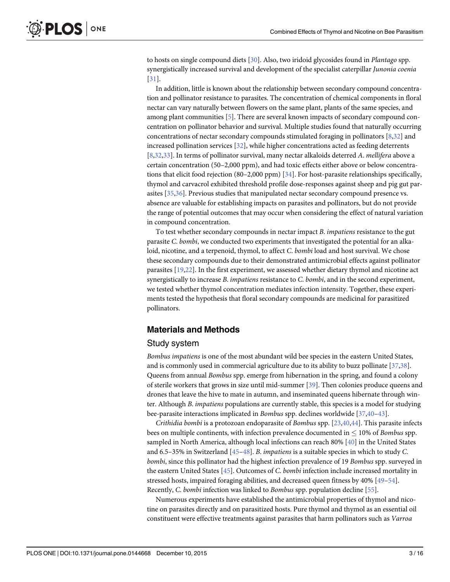<span id="page-3-0"></span>to hosts on single compound diets [[30](#page-13-0)]. Also, two iridoid glycosides found in Plantago spp. synergistically increased survival and development of the specialist caterpillar Junonia coenia [\[31](#page-13-0)].

In addition, little is known about the relationship between secondary compound concentration and pollinator resistance to parasites. The concentration of chemical components in floral nectar can vary naturally between flowers on the same plant, plants of the same species, and among plant communities [\[5](#page-12-0)]. There are several known impacts of secondary compound concentration on pollinator behavior and survival. Multiple studies found that naturally occurring concentrations of nectar secondary compounds stimulated foraging in pollinators [\[8](#page-12-0)[,32\]](#page-13-0) and increased pollination services [[32](#page-13-0)], while higher concentrations acted as feeding deterrents [\[8](#page-12-0)[,32,33\]](#page-13-0). In terms of pollinator survival, many nectar alkaloids deterred A. mellifera above a certain concentration (50–2,000 ppm), and had toxic effects either above or below concentrations that elicit food rejection (80–2,000 ppm) [[34](#page-13-0)]. For host-parasite relationships specifically, thymol and carvacrol exhibited threshold profile dose-responses against sheep and pig gut parasites [\[35,](#page-13-0)[36](#page-14-0)]. Previous studies that manipulated nectar secondary compound presence vs. absence are valuable for establishing impacts on parasites and pollinators, but do not provide the range of potential outcomes that may occur when considering the effect of natural variation in compound concentration.

To test whether secondary compounds in nectar impact B. impatiens resistance to the gut parasite C. bombi, we conducted two experiments that investigated the potential for an alkaloid, nicotine, and a terpenoid, thymol, to affect C. bombi load and host survival. We chose these secondary compounds due to their demonstrated antimicrobial effects against pollinator parasites [\[19,22\]](#page-13-0). In the first experiment, we assessed whether dietary thymol and nicotine act synergistically to increase B. impatiens resistance to C. bombi, and in the second experiment, we tested whether thymol concentration mediates infection intensity. Together, these experiments tested the hypothesis that floral secondary compounds are medicinal for parasitized pollinators.

#### Materials and Methods

#### Study system

Bombus impatiens is one of the most abundant wild bee species in the eastern United States, and is commonly used in commercial agriculture due to its ability to buzz pollinate [[37](#page-14-0),[38](#page-14-0)]. Queens from annual Bombus spp. emerge from hibernation in the spring, and found a colony of sterile workers that grows in size until mid-summer [[39\]](#page-14-0). Then colonies produce queens and drones that leave the hive to mate in autumn, and inseminated queens hibernate through winter. Although B. impatiens populations are currently stable, this species is a model for studying bee-parasite interactions implicated in Bombus spp. declines worldwide [[37,40](#page-14-0)–[43](#page-14-0)].

Crithidia bombi is a protozoan endoparasite of Bombus spp. [\[23](#page-13-0)[,40,44\]](#page-14-0). This parasite infects bees on multiple continents, with infection prevalence documented in  $\leq 10\%$  of Bombus spp. sampled in North America, although local infections can reach 80% [[40\]](#page-14-0) in the United States and 6.5–35% in Switzerland [[45](#page-14-0)–[48](#page-14-0)]. B. impatiens is a suitable species in which to study C. bombi, since this pollinator had the highest infection prevalence of 19 Bombus spp. surveyed in the eastern United States [[45](#page-14-0)]. Outcomes of C. bombi infection include increased mortality in stressed hosts, impaired foraging abilities, and decreased queen fitness by 40% [[49](#page-14-0)–[54\]](#page-14-0). Recently, C. bombi infection was linked to Bombus spp. population decline [\[55\]](#page-14-0).

Numerous experiments have established the antimicrobial properties of thymol and nicotine on parasites directly and on parasitized hosts. Pure thymol and thymol as an essential oil constituent were effective treatments against parasites that harm pollinators such as Varroa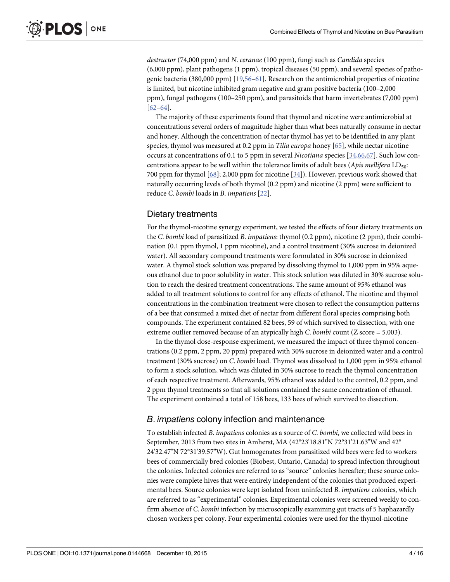<span id="page-4-0"></span>destructor (74,000 ppm) and N. ceranae (100 ppm), fungi such as Candida species (6,000 ppm), plant pathogens (1 ppm), tropical diseases (50 ppm), and several species of pathogenic bacteria (380,000 ppm) [[19,](#page-13-0)[56](#page-14-0)–[61](#page-15-0)]. Research on the antimicrobial properties of nicotine is limited, but nicotine inhibited gram negative and gram positive bacteria (100–2,000 ppm), fungal pathogens (100–250 ppm), and parasitoids that harm invertebrates (7,000 ppm) [\[62](#page-15-0)–[64\]](#page-15-0).

The majority of these experiments found that thymol and nicotine were antimicrobial at concentrations several orders of magnitude higher than what bees naturally consume in nectar and honey. Although the concentration of nectar thymol has yet to be identified in any plant species, thymol was measured at 0.2 ppm in Tilia europa honey  $[65]$  $[65]$  $[65]$ , while nectar nicotine occurs at concentrations of 0.1 to 5 ppm in several Nicotiana species [\[34,](#page-13-0)[66](#page-15-0),[67](#page-15-0)]. Such low concentrations appear to be well within the tolerance limits of adult bees (Apis mellifera  $LD_{50}$ : 700 ppm for thymol [\[68\]](#page-15-0); 2,000 ppm for nicotine [[34\]](#page-13-0)). However, previous work showed that naturally occurring levels of both thymol (0.2 ppm) and nicotine (2 ppm) were sufficient to reduce C. bombi loads in B. impatiens [[22\]](#page-13-0).

#### Dietary treatments

For the thymol-nicotine synergy experiment, we tested the effects of four dietary treatments on the C. bombi load of parasitized B. impatiens: thymol (0.2 ppm), nicotine (2 ppm), their combination (0.1 ppm thymol, 1 ppm nicotine), and a control treatment (30% sucrose in deionized water). All secondary compound treatments were formulated in 30% sucrose in deionized water. A thymol stock solution was prepared by dissolving thymol to 1,000 ppm in 95% aqueous ethanol due to poor solubility in water. This stock solution was diluted in 30% sucrose solution to reach the desired treatment concentrations. The same amount of 95% ethanol was added to all treatment solutions to control for any effects of ethanol. The nicotine and thymol concentrations in the combination treatment were chosen to reflect the consumption patterns of a bee that consumed a mixed diet of nectar from different floral species comprising both compounds. The experiment contained 82 bees, 59 of which survived to dissection, with one extreme outlier removed because of an atypically high C. bombi count  $(Z\, \text{score} = 5.003)$ .

In the thymol dose-response experiment, we measured the impact of three thymol concentrations (0.2 ppm, 2 ppm, 20 ppm) prepared with 30% sucrose in deionized water and a control treatment (30% sucrose) on C. bombi load. Thymol was dissolved to 1,000 ppm in 95% ethanol to form a stock solution, which was diluted in 30% sucrose to reach the thymol concentration of each respective treatment. Afterwards, 95% ethanol was added to the control, 0.2 ppm, and 2 ppm thymol treatments so that all solutions contained the same concentration of ethanol. The experiment contained a total of 158 bees, 133 bees of which survived to dissection.

#### B. impatiens colony infection and maintenance

To establish infected B. impatiens colonies as a source of C. bombi, we collected wild bees in September, 2013 from two sites in Amherst, MA (42°23'18.81"N 72°31'21.63"W and 42° 24'32.47"N 72°31'39.57"W). Gut homogenates from parasitized wild bees were fed to workers bees of commercially bred colonies (Biobest, Ontario, Canada) to spread infection throughout the colonies. Infected colonies are referred to as "source" colonies hereafter; these source colonies were complete hives that were entirely independent of the colonies that produced experimental bees. Source colonies were kept isolated from uninfected B. impatiens colonies, which are referred to as "experimental" colonies. Experimental colonies were screened weekly to confirm absence of C. bombi infection by microscopically examining gut tracts of 5 haphazardly chosen workers per colony. Four experimental colonies were used for the thymol-nicotine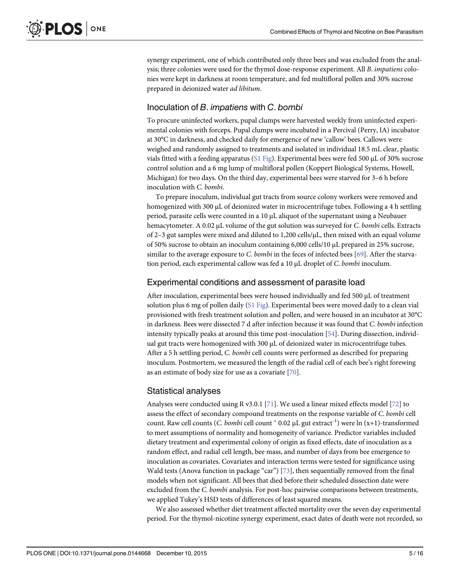<span id="page-5-0"></span>synergy experiment, one of which contributed only three bees and was excluded from the analysis; three colonies were used for the thymol dose-response experiment. All B. impatiens colonies were kept in darkness at room temperature, and fed multifloral pollen and 30% sucrose prepared in deionized water ad libitum.

## Inoculation of B. impatiens with C. bombi

To procure uninfected workers, pupal clumps were harvested weekly from uninfected experimental colonies with forceps. Pupal clumps were incubated in a Percival (Perry, IA) incubator at 30°C in darkness, and checked daily for emergence of new 'callow' bees. Callows were weighed and randomly assigned to treatments and isolated in individual 18.5 mL clear, plastic vials fitted with a feeding apparatus ([S1 Fig\)](#page-12-0). Experimental bees were fed 500 μL of 30% sucrose control solution and a 6 mg lump of multifloral pollen (Koppert Biological Systems, Howell, Michigan) for two days. On the third day, experimental bees were starved for 3–6 h before inoculation with C. bombi.

To prepare inoculum, individual gut tracts from source colony workers were removed and homogenized with 300 μL of deionized water in microcentrifuge tubes. Following a 4 h settling period, parasite cells were counted in a 10 μL aliquot of the supernatant using a Neubauer hemacytometer. A 0.02 μL volume of the gut solution was surveyed for C. bombi cells. Extracts of 2–3 gut samples were mixed and diluted to 1,200 cells/ $\mu$ L, then mixed with an equal volume of 50% sucrose to obtain an inoculum containing 6,000 cells/10 μL prepared in 25% sucrose, similar to the average exposure to C. bombi in the feces of infected bees [[69](#page-15-0)]. After the starvation period, each experimental callow was fed a 10 μL droplet of C. bombi inoculum.

## Experimental conditions and assessment of parasite load

After inoculation, experimental bees were housed individually and fed 500 μL of treatment solution plus 6 mg of pollen daily  $(S1$  Fig). Experimental bees were moved daily to a clean vial provisioned with fresh treatment solution and pollen, and were housed in an incubator at 30°C in darkness. Bees were dissected 7 d after infection because it was found that C. bombi infection intensity typically peaks at around this time post-inoculation [\[54\]](#page-14-0). During dissection, individual gut tracts were homogenized with 300 μL of deionized water in microcentrifuge tubes. After a 5 h settling period, C. bombi cell counts were performed as described for preparing inoculum. Postmortem, we measured the length of the radial cell of each bee's right forewing as an estimate of body size for use as a covariate [[70\]](#page-15-0).

# Statistical analyses

Analyses were conducted using R v3.0.1 [\[71\]](#page-15-0). We used a linear mixed effects model [[72](#page-15-0)] to assess the effect of secondary compound treatments on the response variable of C. bombi cell count. Raw cell counts (*C. bombi* cell count  $*$  0.02  $\mu$ L gut extract<sup>-1</sup>) were ln (x+1)-transformed to meet assumptions of normality and homogeneity of variance. Predictor variables included dietary treatment and experimental colony of origin as fixed effects, date of inoculation as a random effect, and radial cell length, bee mass, and number of days from bee emergence to inoculation as covariates. Covariates and interaction terms were tested for significance using Wald tests (Anova function in package "car") [\[73\]](#page-15-0), then sequentially removed from the final models when not significant. All bees that died before their scheduled dissection date were excluded from the C. bombi analysis. For post-hoc pairwise comparisons between treatments, we applied Tukey's HSD tests of differences of least squared means.

We also assessed whether diet treatment affected mortality over the seven day experimental period. For the thymol-nicotine synergy experiment, exact dates of death were not recorded, so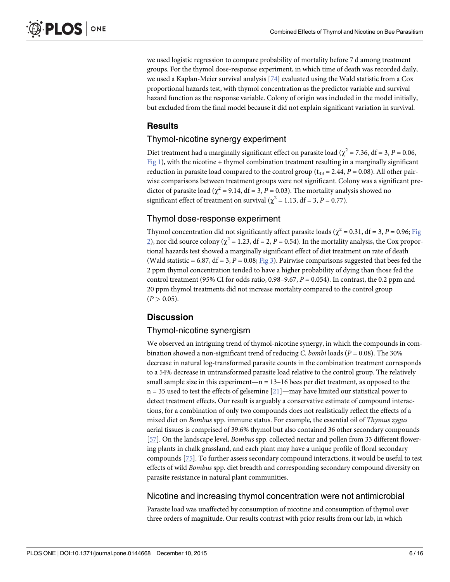<span id="page-6-0"></span>we used logistic regression to compare probability of mortality before 7 d among treatment groups. For the thymol dose-response experiment, in which time of death was recorded daily, we used a Kaplan-Meier survival analysis  $[74]$  evaluated using the Wald statistic from a Cox proportional hazards test, with thymol concentration as the predictor variable and survival hazard function as the response variable. Colony of origin was included in the model initially, but excluded from the final model because it did not explain significant variation in survival.

#### **Results**

#### Thymol-nicotine synergy experiment

Diet treatment had a marginally significant effect on parasite load ( $\chi^2$  = 7.36, df = 3, P = 0.06,  $Fig 1$ ), with the nicotine + thymol combination treatment resulting in a marginally significant reduction in parasite load compared to the control group ( $t_{43} = 2.44$ ,  $P = 0.08$ ). All other pairwise comparisons between treatment groups were not significant. Colony was a significant predictor of parasite load ( $\chi^2$  = 9.14, df = 3, P = 0.03). The mortality analysis showed no significant effect of treatment on survival ( $\chi^2$  = 1.13, df = 3, P = 0.77).

#### Thymol dose-response experiment

Thymol concentration did not significantly affect parasite loads ( $\chi^2$  = 0.31, df = 3, P = 0.96; [Fig](#page-8-0) [2\)](#page-8-0), nor did source colony ( $\chi^2 = 1.23$ , df = 2, P = 0.54). In the mortality analysis, the Cox proportional hazards test showed a marginally significant effect of diet treatment on rate of death (Wald statistic = 6.87, df = 3,  $P = 0.08$ ; [Fig 3](#page-9-0)). Pairwise comparisons suggested that bees fed the 2 ppm thymol concentration tended to have a higher probability of dying than those fed the control treatment (95% CI for odds ratio,  $0.98-9.67$ ,  $P = 0.054$ ). In contrast, the 0.2 ppm and 20 ppm thymol treatments did not increase mortality compared to the control group  $(P > 0.05)$ .

## **Discussion**

#### Thymol-nicotine synergism

We observed an intriguing trend of thymol-nicotine synergy, in which the compounds in combination showed a non-significant trend of reducing C. bombi loads ( $P = 0.08$ ). The 30% decrease in natural log-transformed parasite counts in the combination treatment corresponds to a 54% decrease in untransformed parasite load relative to the control group. The relatively small sample size in this experiment—n =  $13-16$  bees per diet treatment, as opposed to the  $n = 35$  used to test the effects of gelsemine  $[21]$ —may have limited our statistical power to detect treatment effects. Our result is arguably a conservative estimate of compound interactions, for a combination of only two compounds does not realistically reflect the effects of a mixed diet on Bombus spp. immune status. For example, the essential oil of Thymus zygus aerial tissues is comprised of 39.6% thymol but also contained 36 other secondary compounds [\[57](#page-14-0)]. On the landscape level, *Bombus* spp. collected nectar and pollen from 33 different flowering plants in chalk grassland, and each plant may have a unique profile of floral secondary compounds [[75](#page-15-0)]. To further assess secondary compound interactions, it would be useful to test effects of wild Bombus spp. diet breadth and corresponding secondary compound diversity on parasite resistance in natural plant communities.

#### Nicotine and increasing thymol concentration were not antimicrobial

Parasite load was unaffected by consumption of nicotine and consumption of thymol over three orders of magnitude. Our results contrast with prior results from our lab, in which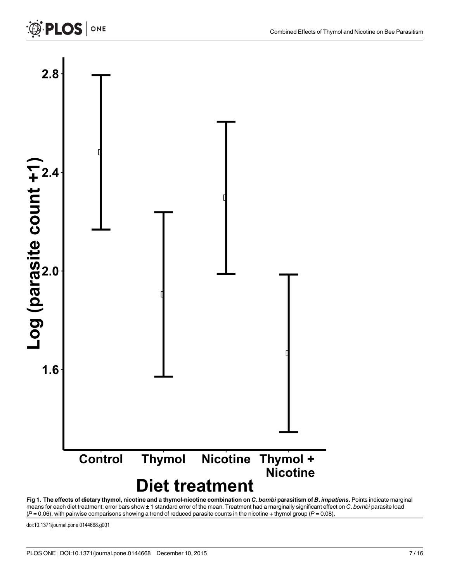<span id="page-7-0"></span>

[Fig 1. T](#page-6-0)he effects of dietary thymol, nicotine and a thymol-nicotine combination on C. bombi parasitism of B. impatiens. Points indicate marginal means for each diet treatment; error bars show ± 1 standard error of the mean. Treatment had a marginally significant effect on C. bombi parasite load  $(P = 0.06)$ , with pairwise comparisons showing a trend of reduced parasite counts in the nicotine + thymol group  $(P = 0.08)$ .

doi:10.1371/journal.pone.0144668.g001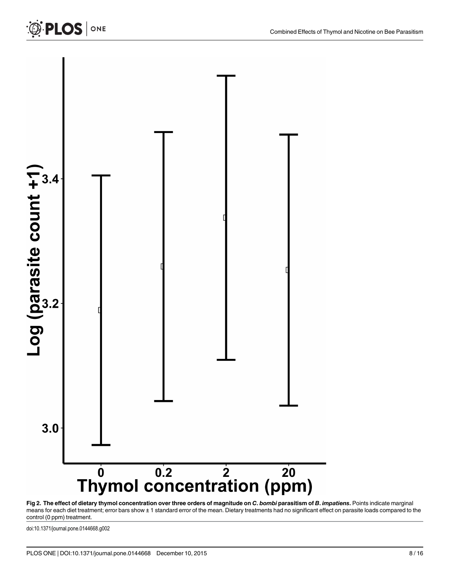<span id="page-8-0"></span>

[Fig 2. T](#page-6-0)he effect of dietary thymol concentration over three orders of magnitude on C. bombi parasitism of B. impatiens. Points indicate marginal means for each diet treatment; error bars show ± 1 standard error of the mean. Dietary treatments had no significant effect on parasite loads compared to the control (0 ppm) treatment.

doi:10.1371/journal.pone.0144668.g002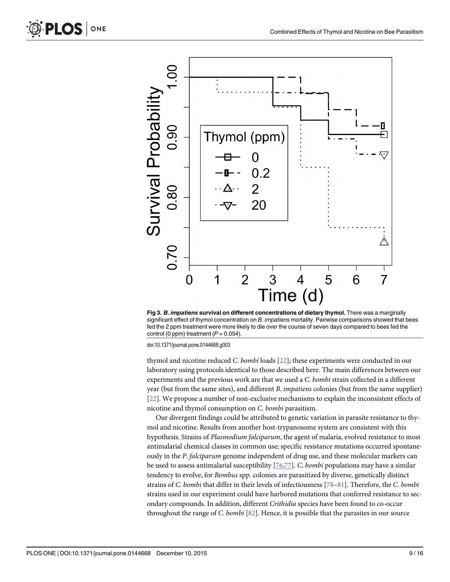

[Fig 3.](#page-6-0) B. impatiens survival on different concentrations of dietary thymol. There was a marginally significant effect of thymol concentration on B. impatiens mortality. Pairwise comparisons showed that bees fed the 2 ppm treatment were more likely to die over the course of seven days compared to bees fed the control (0 ppm) treatment  $(P = 0.054)$ .

doi:10.1371/journal.pone.0144668.g003

thymol and nicotine reduced C. bombi loads [[22](#page-13-0)]; these experiments were conducted in our laboratory using protocols identical to those described here. The main differences between our experiments and the previous work are that we used a C. bombi strain collected in a different year (but from the same sites), and different B. impatiens colonies (but from the same supplier) [\[22](#page-13-0)]. We propose a number of non-exclusive mechanisms to explain the inconsistent effects of nicotine and thymol consumption on C. bombi parasitism.

Our divergent findings could be attributed to genetic variation in parasite resistance to thymol and nicotine. Results from another host-trypanosome system are consistent with this hypothesis. Strains of Plasmodium falciparum, the agent of malaria, evolved resistance to most antimalarial chemical classes in common use; specific resistance mutations occurred spontaneously in the P. falciparum genome independent of drug use, and these molecular markers can be used to assess antimalarial susceptibility [\[76,77\]](#page-15-0). C. bombi populations may have a similar tendency to evolve, for Bombus spp. colonies are parasitized by diverse, genetically distinct strains of C. bombi that differ in their levels of infectiousness [\[78](#page-15-0)–[81\]](#page-16-0). Therefore, the C. bombi strains used in our experiment could have harbored mutations that conferred resistance to secondary compounds. In addition, different Crithidia species have been found to co-occur throughout the range of C. bombi  $[82]$  $[82]$  $[82]$ . Hence, it is possible that the parasites in our source

<span id="page-9-0"></span>PLOS ONE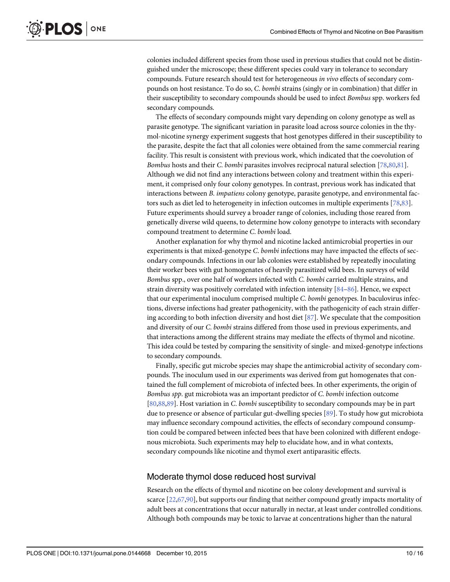<span id="page-10-0"></span>colonies included different species from those used in previous studies that could not be distinguished under the microscope; these different species could vary in tolerance to secondary compounds. Future research should test for heterogeneous in vivo effects of secondary compounds on host resistance. To do so, C. bombi strains (singly or in combination) that differ in their susceptibility to secondary compounds should be used to infect Bombus spp. workers fed secondary compounds.

The effects of secondary compounds might vary depending on colony genotype as well as parasite genotype. The significant variation in parasite load across source colonies in the thymol-nicotine synergy experiment suggests that host genotypes differed in their susceptibility to the parasite, despite the fact that all colonies were obtained from the same commercial rearing facility. This result is consistent with previous work, which indicated that the coevolution of Bombus hosts and their C. bombi parasites involves reciprocal natural selection [\[78,80](#page-15-0),[81](#page-16-0)]. Although we did not find any interactions between colony and treatment within this experiment, it comprised only four colony genotypes. In contrast, previous work has indicated that interactions between B. *impatiens* colony genotype, parasite genotype, and environmental factors such as diet led to heterogeneity in infection outcomes in multiple experiments [[78](#page-15-0)[,83\]](#page-16-0). Future experiments should survey a broader range of colonies, including those reared from genetically diverse wild queens, to determine how colony genotype to interacts with secondary compound treatment to determine C. bombi load.

Another explanation for why thymol and nicotine lacked antimicrobial properties in our experiments is that mixed-genotype C. bombi infections may have impacted the effects of secondary compounds. Infections in our lab colonies were established by repeatedly inoculating their worker bees with gut homogenates of heavily parasitized wild bees. In surveys of wild Bombus spp., over one half of workers infected with C. bombi carried multiple strains, and strain diversity was positively correlated with infection intensity [\[84](#page-16-0)–[86](#page-16-0)]. Hence, we expect that our experimental inoculum comprised multiple C. bombi genotypes. In baculovirus infections, diverse infections had greater pathogenicity, with the pathogenicity of each strain differing according to both infection diversity and host diet [[87\]](#page-16-0). We speculate that the composition and diversity of our C. bombi strains differed from those used in previous experiments, and that interactions among the different strains may mediate the effects of thymol and nicotine. This idea could be tested by comparing the sensitivity of single- and mixed-genotype infections to secondary compounds.

Finally, specific gut microbe species may shape the antimicrobial activity of secondary compounds. The inoculum used in our experiments was derived from gut homogenates that contained the full complement of microbiota of infected bees. In other experiments, the origin of Bombus spp. gut microbiota was an important predictor of C. bombi infection outcome [\[80](#page-15-0)[,88,89\]](#page-16-0). Host variation in C. bombi susceptibility to secondary compounds may be in part due to presence or absence of particular gut-dwelling species [[89](#page-16-0)]. To study how gut microbiota may influence secondary compound activities, the effects of secondary compound consumption could be compared between infected bees that have been colonized with different endogenous microbiota. Such experiments may help to elucidate how, and in what contexts, secondary compounds like nicotine and thymol exert antiparasitic effects.

#### Moderate thymol dose reduced host survival

Research on the effects of thymol and nicotine on bee colony development and survival is scarce  $[22,67,90]$  $[22,67,90]$  $[22,67,90]$  $[22,67,90]$  $[22,67,90]$ , but supports our finding that neither compound greatly impacts mortality of adult bees at concentrations that occur naturally in nectar, at least under controlled conditions. Although both compounds may be toxic to larvae at concentrations higher than the natural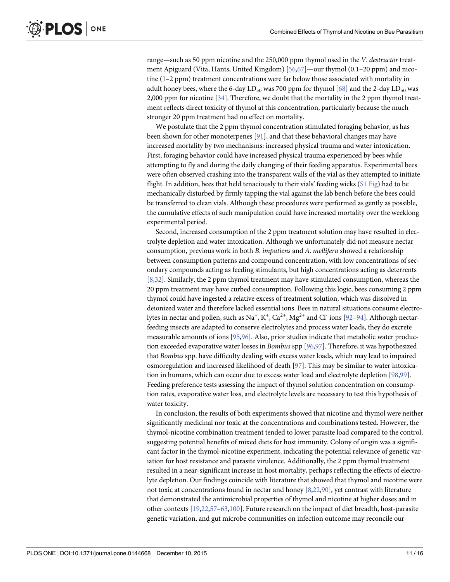<span id="page-11-0"></span>range—such as 50 ppm nicotine and the 250,000 ppm thymol used in the V. destructor treatment Apiguard (Vita, Hants, United Kingdom) [[56](#page-14-0),[67](#page-15-0)]—our thymol (0.1–20 ppm) and nicotine (1–2 ppm) treatment concentrations were far below those associated with mortality in adult honey bees, where the 6-day  $LD_{50}$  was 700 ppm for thymol  $[68]$  $[68]$  $[68]$  and the 2-day  $LD_{50}$  was 2,000 ppm for nicotine [\[34\]](#page-13-0). Therefore, we doubt that the mortality in the 2 ppm thymol treatment reflects direct toxicity of thymol at this concentration, particularly because the much stronger 20 ppm treatment had no effect on mortality.

We postulate that the 2 ppm thymol concentration stimulated foraging behavior, as has been shown for other monoterpenes [\[91\]](#page-16-0), and that these behavioral changes may have increased mortality by two mechanisms: increased physical trauma and water intoxication. First, foraging behavior could have increased physical trauma experienced by bees while attempting to fly and during the daily changing of their feeding apparatus. Experimental bees were often observed crashing into the transparent walls of the vial as they attempted to initiate flight. In addition, bees that held tenaciously to their vials' feeding wicks ([S1 Fig](#page-12-0)) had to be mechanically disturbed by firmly tapping the vial against the lab bench before the bees could be transferred to clean vials. Although these procedures were performed as gently as possible, the cumulative effects of such manipulation could have increased mortality over the weeklong experimental period.

Second, increased consumption of the 2 ppm treatment solution may have resulted in electrolyte depletion and water intoxication. Although we unfortunately did not measure nectar consumption, previous work in both B. impatiens and A. mellifera showed a relationship between consumption patterns and compound concentration, with low concentrations of secondary compounds acting as feeding stimulants, but high concentrations acting as deterrents [\[8](#page-12-0)[,32](#page-13-0)]. Similarly, the 2 ppm thymol treatment may have stimulated consumption, whereas the 20 ppm treatment may have curbed consumption. Following this logic, bees consuming 2 ppm thymol could have ingested a relative excess of treatment solution, which was dissolved in deionized water and therefore lacked essential ions. Bees in natural situations consume electro-lytes in nectar and pollen, such as Na<sup>+</sup>, K<sup>+</sup>, Ca<sup>2+</sup>, Mg<sup>2+</sup> and Cl<sup>-</sup> ions [<u>[92](#page-16-0)–[94\]](#page-16-0)</u>. Although nectarfeeding insects are adapted to conserve electrolytes and process water loads, they do excrete measurable amounts of ions [[95](#page-16-0),[96](#page-16-0)]. Also, prior studies indicate that metabolic water production exceeded evaporative water losses in Bombus spp [\[96,97\]](#page-16-0). Therefore, it was hypothesized that Bombus spp. have difficulty dealing with excess water loads, which may lead to impaired osmoregulation and increased likelihood of death [\[97\]](#page-16-0). This may be similar to water intoxication in humans, which can occur due to excess water load and electrolyte depletion [[98,99\]](#page-16-0). Feeding preference tests assessing the impact of thymol solution concentration on consumption rates, evaporative water loss, and electrolyte levels are necessary to test this hypothesis of water toxicity.

In conclusion, the results of both experiments showed that nicotine and thymol were neither significantly medicinal nor toxic at the concentrations and combinations tested. However, the thymol-nicotine combination treatment tended to lower parasite load compared to the control, suggesting potential benefits of mixed diets for host immunity. Colony of origin was a significant factor in the thymol-nicotine experiment, indicating the potential relevance of genetic variation for host resistance and parasite virulence. Additionally, the 2 ppm thymol treatment resulted in a near-significant increase in host mortality, perhaps reflecting the effects of electrolyte depletion. Our findings coincide with literature that showed that thymol and nicotine were not toxic at concentrations found in nectar and honey [[8,](#page-12-0)[22](#page-13-0),[90](#page-16-0)], yet contrast with literature that demonstrated the antimicrobial properties of thymol and nicotine at higher doses and in other contexts [\[19,22,](#page-13-0)[57](#page-14-0)–[63](#page-15-0)[,100\]](#page-16-0). Future research on the impact of diet breadth, host-parasite genetic variation, and gut microbe communities on infection outcome may reconcile our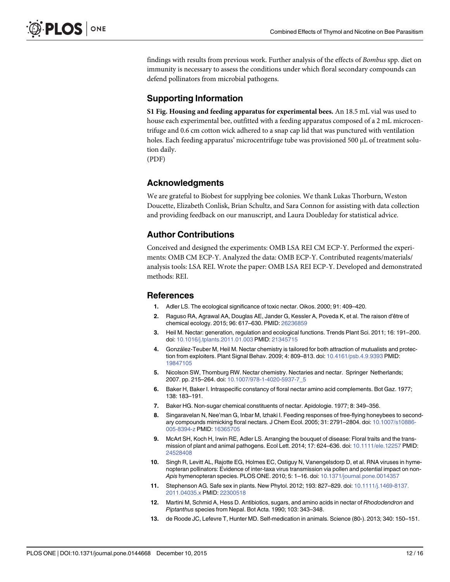<span id="page-12-0"></span>findings with results from previous work. Further analysis of the effects of Bombus spp. diet on immunity is necessary to assess the conditions under which floral secondary compounds can defend pollinators from microbial pathogens.

### Supporting Information

[S1 Fig.](http://www.plosone.org/article/fetchSingleRepresentation.action?uri=info:doi/10.1371/journal.pone.0144668.s001) Housing and feeding apparatus for experimental bees. An 18.5 mL vial was used to house each experimental bee, outfitted with a feeding apparatus composed of a 2 mL microcentrifuge and 0.6 cm cotton wick adhered to a snap cap lid that was punctured with ventilation holes. Each feeding apparatus' microcentrifuge tube was provisioned 500 μL of treatment solution daily.

(PDF)

#### Acknowledgments

We are grateful to Biobest for supplying bee colonies. We thank Lukas Thorburn, Weston Doucette, Elizabeth Conlisk, Brian Schultz, and Sara Connon for assisting with data collection and providing feedback on our manuscript, and Laura Doubleday for statistical advice.

#### Author Contributions

Conceived and designed the experiments: OMB LSA REI CM ECP-Y. Performed the experiments: OMB CM ECP-Y. Analyzed the data: OMB ECP-Y. Contributed reagents/materials/ analysis tools: LSA REI. Wrote the paper: OMB LSA REI ECP-Y. Developed and demonstrated methods: REI.

#### **References**

- [1.](#page-2-0) Adler LS. The ecological significance of toxic nectar. Oikos. 2000; 91: 409–420.
- [2.](#page-2-0) Raguso RA, Agrawal AA, Douglas AE, Jander G, Kessler A, Poveda K, et al. The raison d'être of chemical ecology. 2015; 96: 617–630. PMID: [26236859](http://www.ncbi.nlm.nih.gov/pubmed/26236859)
- [3.](#page-2-0) Heil M. Nectar: generation, regulation and ecological functions. Trends Plant Sci. 2011; 16: 191–200. doi: [10.1016/j.tplants.2011.01.003](http://dx.doi.org/10.1016/j.tplants.2011.01.003) PMID: [21345715](http://www.ncbi.nlm.nih.gov/pubmed/21345715)
- 4. González-Teuber M, Heil M. Nectar chemistry is tailored for both attraction of mutualists and protection from exploiters. Plant Signal Behav. 2009; 4: 809–813. doi: [10.4161/psb.4.9.9393](http://dx.doi.org/10.4161/psb.4.9.9393) PMID: [19847105](http://www.ncbi.nlm.nih.gov/pubmed/19847105)
- [5.](#page-2-0) Nicolson SW, Thornburg RW. Nectar chemistry. Nectaries and nectar. Springer Netherlands; 2007. pp. 215–264. doi: [10.1007/978-1-4020-5937-7\\_5](http://dx.doi.org/10.1007/978-1-4020-5937-7_5)
- 6. Baker H, Baker I. Intraspecific constancy of floral nectar amino acid complements. Bot Gaz. 1977; 138: 183–191.
- [7.](#page-2-0) Baker HG. Non-sugar chemical constituents of nectar. Apidologie. 1977; 8: 349–356.
- [8.](#page-2-0) Singaravelan N, Nee'man G, Inbar M, Izhaki I. Feeding responses of free-flying honeybees to secondary compounds mimicking floral nectars. J Chem Ecol. 2005; 31: 2791–2804. doi: [10.1007/s10886-](http://dx.doi.org/10.1007/s10886-005-8394-z) [005-8394-z](http://dx.doi.org/10.1007/s10886-005-8394-z) PMID: [16365705](http://www.ncbi.nlm.nih.gov/pubmed/16365705)
- [9.](#page-2-0) McArt SH, Koch H, Irwin RE, Adler LS. Arranging the bouquet of disease: Floral traits and the transmission of plant and animal pathogens. Ecol Lett. 2014; 17: 624–636. doi: [10.1111/ele.12257](http://dx.doi.org/10.1111/ele.12257) PMID: [24528408](http://www.ncbi.nlm.nih.gov/pubmed/24528408)
- [10.](#page-2-0) Singh R, Levitt AL, Rajotte EG, Holmes EC, Ostiguy N, Vanengelsdorp D, et al. RNA viruses in hymenopteran pollinators: Evidence of inter-taxa virus transmission via pollen and potential impact on non-Apis hymenopteran species. PLOS ONE. 2010; 5: 1–16. doi: [10.1371/journal.pone.0014357](http://dx.doi.org/10.1371/journal.pone.0014357)
- [11.](#page-2-0) Stephenson AG. Safe sex in plants. New Phytol. 2012; 193: 827–829. doi: [10.1111/j.1469-8137.](http://dx.doi.org/10.1111/j.1469-8137.2011.04035.x) [2011.04035.x](http://dx.doi.org/10.1111/j.1469-8137.2011.04035.x) PMID: [22300518](http://www.ncbi.nlm.nih.gov/pubmed/22300518)
- [12.](#page-2-0) Martini M, Schmid A, Hess D. Antibiotics, sugars, and amino acids in nectar of Rhododendron and Piptanthus species from Nepal. Bot Acta. 1990; 103: 343–348.
- [13.](#page-2-0) de Roode JC, Lefevre T, Hunter MD. Self-medication in animals. Science (80-). 2013; 340: 150–151.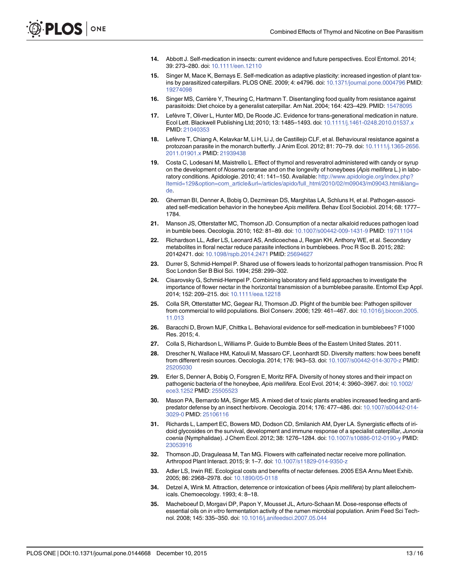- <span id="page-13-0"></span>[14.](#page-2-0) Abbott J. Self-medication in insects: current evidence and future perspectives. Ecol Entomol. 2014; 39: 273–280. doi: [10.1111/een.12110](http://dx.doi.org/10.1111/een.12110)
- [15.](#page-2-0) Singer M, Mace K, Bernays E. Self-medication as adaptive plasticity: increased ingestion of plant toxins by parasitized caterpillars. PLOS ONE. 2009; 4: e4796. doi: [10.1371/journal.pone.0004796](http://dx.doi.org/10.1371/journal.pone.0004796) PMID: [19274098](http://www.ncbi.nlm.nih.gov/pubmed/19274098)
- [16.](#page-2-0) Singer MS, Carrière Y, Theuring C, Hartmann T. Disentangling food quality from resistance against parasitoids: Diet choice by a generalist caterpillar. Am Nat. 2004; 164: 423–429. PMID: [15478095](http://www.ncbi.nlm.nih.gov/pubmed/15478095)
- [17.](#page-2-0) Lefèvre T, Oliver L, Hunter MD, De Roode JC. Evidence for trans-generational medication in nature. Ecol Lett. Blackwell Publishing Ltd; 2010; 13: 1485–1493. doi: [10.1111/j.1461-0248.2010.01537.x](http://dx.doi.org/10.1111/j.1461-0248.2010.01537.x) PMID: [21040353](http://www.ncbi.nlm.nih.gov/pubmed/21040353)
- [18.](#page-2-0) Lefèvre T, Chiang A, Kelavkar M, Li H, Li J, de Castillejo CLF, et al. Behavioural resistance against a protozoan parasite in the monarch butterfly. J Anim Ecol. 2012; 81: 70–79. doi: [10.1111/j.1365-2656.](http://dx.doi.org/10.1111/j.1365-2656.2011.01901.x) [2011.01901.x](http://dx.doi.org/10.1111/j.1365-2656.2011.01901.x) PMID: [21939438](http://www.ncbi.nlm.nih.gov/pubmed/21939438)
- [19.](#page-2-0) Costa C, Lodesani M, Maistrello L. Effect of thymol and resveratrol administered with candy or syrup on the development of Nosema ceranae and on the longevity of honeybees (Apis mellifera L.) in laboratory conditions. Apidologie. 2010; 41: 141–150. Available: [http://www.apidologie.org/index.php?](http://www.apidologie.org/index.php?Itemid=129&option=com_article&url=/articles/apido/full_html/2010/02/m09043/m09043.html&lang=de) [Itemid=129&option=com\\_article&url=/articles/apido/full\\_html/2010/02/m09043/m09043.html&lang=](http://www.apidologie.org/index.php?Itemid=129&option=com_article&url=/articles/apido/full_html/2010/02/m09043/m09043.html&lang=de) [de.](http://www.apidologie.org/index.php?Itemid=129&option=com_article&url=/articles/apido/full_html/2010/02/m09043/m09043.html&lang=de)
- [20.](#page-2-0) Gherman BI, Denner A, Bobiş O, Dezmirean DS, Marghitas LA, Schluns H, et al. Pathogen-associated self-medication behavior in the honeybee Apis mellifera. Behav Ecol Sociobiol. 2014; 68: 1777– 1784.
- [21.](#page-2-0) Manson JS, Otterstatter MC, Thomson JD. Consumption of a nectar alkaloid reduces pathogen load in bumble bees. Oecologia. 2010; 162: 81–89. doi: [10.1007/s00442-009-1431-9](http://dx.doi.org/10.1007/s00442-009-1431-9) PMID: [19711104](http://www.ncbi.nlm.nih.gov/pubmed/19711104)
- [22.](#page-2-0) Richardson LL, Adler LS, Leonard AS, Andicoechea J, Regan KH, Anthony WE, et al. Secondary metabolites in floral nectar reduce parasite infections in bumblebees. Proc R Soc B. 2015; 282: 20142471. doi: [10.1098/rspb.2014.2471](http://dx.doi.org/10.1098/rspb.2014.2471) PMID: [25694627](http://www.ncbi.nlm.nih.gov/pubmed/25694627)
- [23.](#page-2-0) Durrer S, Schmid-Hempel P. Shared use of flowers leads to horizontal pathogen transmission. Proc R Soc London Ser B Biol Sci. 1994; 258: 299–302.
- 24. Cisarovsky G, Schmid-Hempel P. Combining laboratory and field approaches to investigate the importance of flower nectar in the horizontal transmission of a bumblebee parasite. Entomol Exp Appl. 2014; 152: 209–215. doi: [10.1111/eea.12218](http://dx.doi.org/10.1111/eea.12218)
- [25.](#page-2-0) Colla SR, Otterstatter MC, Gegear RJ, Thomson JD. Plight of the bumble bee: Pathogen spillover from commercial to wild populations. Biol Conserv. 2006; 129: 461–467. doi: [10.1016/j.biocon.2005.](http://dx.doi.org/10.1016/j.biocon.2005.11.013) [11.013](http://dx.doi.org/10.1016/j.biocon.2005.11.013)
- [26.](#page-2-0) Baracchi D, Brown MJF, Chittka L. Behavioral evidence for self-medication in bumblebees? F1000 Res. 2015; 4.
- [27.](#page-2-0) Colla S, Richardson L, Williams P. Guide to Bumble Bees of the Eastern United States. 2011.
- [28.](#page-2-0) Drescher N, Wallace HM, Katouli M, Massaro CF, Leonhardt SD. Diversity matters: how bees benefit from different resin sources. Oecologia. 2014; 176: 943–53. doi: [10.1007/s00442-014-3070-z](http://dx.doi.org/10.1007/s00442-014-3070-z) PMID: [25205030](http://www.ncbi.nlm.nih.gov/pubmed/25205030)
- [29.](#page-2-0) Erler S, Denner A, Bobiş O, Forsgren E, Moritz RFA. Diversity of honey stores and their impact on pathogenic bacteria of the honeybee, Apis mellifera. Ecol Evol. 2014; 4: 3960-3967. doi: [10.1002/](http://dx.doi.org/10.1002/ece3.1252) [ece3.1252](http://dx.doi.org/10.1002/ece3.1252) PMID: [25505523](http://www.ncbi.nlm.nih.gov/pubmed/25505523)
- [30.](#page-3-0) Mason PA, Bernardo MA, Singer MS. A mixed diet of toxic plants enables increased feeding and antipredator defense by an insect herbivore. Oecologia. 2014; 176: 477–486. doi: [10.1007/s00442-014-](http://dx.doi.org/10.1007/s00442-014-3029-0) [3029-0](http://dx.doi.org/10.1007/s00442-014-3029-0) PMID: [25106116](http://www.ncbi.nlm.nih.gov/pubmed/25106116)
- [31.](#page-3-0) Richards L, Lampert EC, Bowers MD, Dodson CD, Smilanich AM, Dyer LA. Synergistic effects of iridoid glycosides on the survival, development and immune response of a specialist caterpillar, Junonia coenia (Nymphalidae). J Chem Ecol. 2012; 38: 1276–1284. doi: [10.1007/s10886-012-0190-y](http://dx.doi.org/10.1007/s10886-012-0190-y) PMID: [23053916](http://www.ncbi.nlm.nih.gov/pubmed/23053916)
- [32.](#page-3-0) Thomson JD, Draguleasa M, Tan MG. Flowers with caffeinated nectar receive more pollination. Arthropod Plant Interact. 2015; 9: 1–7. doi: [10.1007/s11829-014-9350-z](http://dx.doi.org/10.1007/s11829-014-9350-z)
- [33.](#page-3-0) Adler LS, Irwin RE. Ecological costs and benefits of nectar defenses. 2005 ESA Annu Meet Exhib. 2005; 86: 2968–2978. doi: [10.1890/05-0118](http://dx.doi.org/10.1890/05-0118)
- [34.](#page-3-0) Detzel A, Wink M. Attraction, deterrence or intoxication of bees (Apis mellifera) by plant allelochemicals. Chemoecology. 1993; 4: 8–18.
- [35.](#page-3-0) Macheboeuf D, Morgavi DP, Papon Y, Mousset JL, Arturo-Schaan M. Dose-response effects of essential oils on in vitro fermentation activity of the rumen microbial population. Anim Feed Sci Technol. 2008; 145: 335–350. doi: [10.1016/j.anifeedsci.2007.05.044](http://dx.doi.org/10.1016/j.anifeedsci.2007.05.044)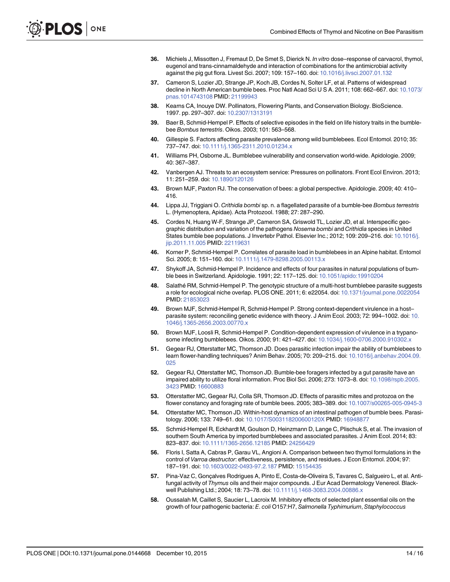- <span id="page-14-0"></span>[36.](#page-3-0) Michiels J, Missotten J, Fremaut D, De Smet S, Dierick N. In vitro dose–response of carvacrol, thymol, eugenol and trans-cinnamaldehyde and interaction of combinations for the antimicrobial activity against the pig gut flora. Livest Sci. 2007; 109: 157–160. doi: [10.1016/j.livsci.2007.01.132](http://dx.doi.org/10.1016/j.livsci.2007.01.132)
- [37.](#page-3-0) Cameron S, Lozier JD, Strange JP, Koch JB, Cordes N, Solter LF, et al. Patterns of widespread decline in North American bumble bees. Proc Natl Acad Sci U S A. 2011; 108: 662-667. doi: [10.1073/](http://dx.doi.org/10.1073/pnas.1014743108) [pnas.1014743108](http://dx.doi.org/10.1073/pnas.1014743108) PMID: [21199943](http://www.ncbi.nlm.nih.gov/pubmed/21199943)
- [38.](#page-3-0) Kearns CA, Inouye DW. Pollinators, Flowering Plants, and Conservation Biology. BioScience. 1997. pp. 297–307. doi: [10.2307/1313191](http://dx.doi.org/10.2307/1313191)
- [39.](#page-3-0) Baer B, Schmid-Hempel P. Effects of selective episodes in the field on life history traits in the bumblebee Bombus terrestris. Oikos. 2003; 101: 563–568.
- [40.](#page-3-0) Gillespie S. Factors affecting parasite prevalence among wild bumblebees. Ecol Entomol. 2010; 35: 737–747. doi: [10.1111/j.1365-2311.2010.01234.x](http://dx.doi.org/10.1111/j.1365-2311.2010.01234.x)
- 41. Williams PH, Osborne JL. Bumblebee vulnerability and conservation world-wide. Apidologie. 2009; 40: 367–387.
- 42. Vanbergen AJ. Threats to an ecosystem service: Pressures on pollinators. Front Ecol Environ. 2013; 11: 251–259. doi: [10.1890/120126](http://dx.doi.org/10.1890/120126)
- [43.](#page-3-0) Brown MJF, Paxton RJ. The conservation of bees: a global perspective. Apidologie. 2009; 40: 410– 416.
- [44.](#page-3-0) Lippa JJ, Triggiani O. Crithidia bombi sp. n. a flagellated parasite of a bumble-bee Bombus terrestris L. (Hymenoptera, Apidae). Acta Protozool. 1988; 27: 287–290.
- [45.](#page-3-0) Cordes N, Huang W-F, Strange JP, Cameron SA, Griswold TL, Lozier JD, et al. Interspecific geographic distribution and variation of the pathogens Nosema bombi and Crithidia species in United States bumble bee populations. J Invertebr Pathol. Elsevier Inc.; 2012; 109: 209–216. doi: [10.1016/j.](http://dx.doi.org/10.1016/j.jip.2011.11.005) [jip.2011.11.005](http://dx.doi.org/10.1016/j.jip.2011.11.005) PMID: [22119631](http://www.ncbi.nlm.nih.gov/pubmed/22119631)
- 46. Korner P, Schmid-Hempel P. Correlates of parasite load in bumblebees in an Alpine habitat. Entomol Sci. 2005; 8: 151–160. doi: [10.1111/j.1479-8298.2005.00113.x](http://dx.doi.org/10.1111/j.1479-8298.2005.00113.x)
- 47. Shykoff JA, Schmid-Hempel P. Incidence and effects of four parasites in natural populations of bumble bees in Switzerland. Apidologie. 1991; 22: 117–125. doi: [10.1051/apido:19910204](http://dx.doi.org/10.1051/apido:19910204)
- [48.](#page-3-0) Salathé RM, Schmid-Hempel P. The genotypic structure of a multi-host bumblebee parasite suggests a role for ecological niche overlap. PLOS ONE. 2011; 6: e22054. doi: [10.1371/journal.pone.0022054](http://dx.doi.org/10.1371/journal.pone.0022054) PMID: [21853023](http://www.ncbi.nlm.nih.gov/pubmed/21853023)
- [49.](#page-3-0) Brown MJF, Schmid-Hempel R, Schmid-Hempel P. Strong context-dependent virulence in a host-parasite system: reconciling genetic evidence with theory. J Anim Ecol. 2003; 72: 994-1002. doi: [10.](http://dx.doi.org/10.1046/j.1365-2656.2003.00770.x) [1046/j.1365-2656.2003.00770.x](http://dx.doi.org/10.1046/j.1365-2656.2003.00770.x)
- 50. Brown MJF, Loosli R, Schmid-Hempel P. Condition-dependent expression of virulence in a trypanosome infecting bumblebees. Oikos. 2000; 91: 421–427. doi: [10.1034/j.1600-0706.2000.910302.x](http://dx.doi.org/10.1034/j.1600-0706.2000.910302.x)
- 51. Gegear RJ, Otterstatter MC, Thomson JD. Does parasitic infection impair the ability of bumblebees to learn flower-handling techniques? Anim Behav. 2005; 70: 209–215. doi: [10.1016/j.anbehav.2004.09.](http://dx.doi.org/10.1016/j.anbehav.2004.09.025) [025](http://dx.doi.org/10.1016/j.anbehav.2004.09.025)
- 52. Gegear RJ, Otterstatter MC, Thomson JD. Bumble-bee foragers infected by a gut parasite have an impaired ability to utilize floral information. Proc Biol Sci. 2006; 273: 1073–8. doi: [10.1098/rspb.2005.](http://dx.doi.org/10.1098/rspb.2005.3423) [3423](http://dx.doi.org/10.1098/rspb.2005.3423) PMID: [16600883](http://www.ncbi.nlm.nih.gov/pubmed/16600883)
- 53. Otterstatter MC, Gegear RJ, Colla SR, Thomson JD. Effects of parasitic mites and protozoa on the flower constancy and foraging rate of bumble bees. 2005; 383–389. doi: [10.1007/s00265-005-0945-3](http://dx.doi.org/10.1007/s00265-005-0945-3)
- [54.](#page-3-0) Otterstatter MC, Thomson JD. Within-host dynamics of an intestinal pathogen of bumble bees. Parasitology. 2006; 133: 749–61. doi: [10.1017/S003118200600120X](http://dx.doi.org/10.1017/S003118200600120X) PMID: [16948877](http://www.ncbi.nlm.nih.gov/pubmed/16948877)
- [55.](#page-3-0) Schmid-Hempel R, Eckhardt M, Goulson D, Heinzmann D, Lange C, Plischuk S, et al. The invasion of southern South America by imported bumblebees and associated parasites. J Anim Ecol. 2014; 83: 823–837. doi: [10.1111/1365-2656.12185](http://dx.doi.org/10.1111/1365-2656.12185) PMID: [24256429](http://www.ncbi.nlm.nih.gov/pubmed/24256429)
- [56.](#page-4-0) Floris I, Satta A, Cabras P, Garau VL, Angioni A. Comparison between two thymol formulations in the control of Varroa destructor: effectiveness, persistence, and residues. J Econ Entomol. 2004; 97: 187–191. doi: [10.1603/0022-0493-97.2.187](http://dx.doi.org/10.1603/0022-0493-97.2.187) PMID: [15154435](http://www.ncbi.nlm.nih.gov/pubmed/15154435)
- [57.](#page-6-0) Pina-Vaz C, Gonçalves Rodrigues A, Pinto E, Costa-de-Oliveira S, Tavares C, Salgueiro L, et al. Antifungal activity of Thymus oils and their major compounds. J Eur Acad Dermatology Venereol. Blackwell Publishing Ltd.; 2004; 18: 73–78. doi: [10.1111/j.1468-3083.2004.00886.x](http://dx.doi.org/10.1111/j.1468-3083.2004.00886.x)
- 58. Oussalah M, Caillet S, Saucier L, Lacroix M. Inhibitory effects of selected plant essential oils on the growth of four pathogenic bacteria: E. coli O157:H7, Salmonella Typhimurium, Staphylococcus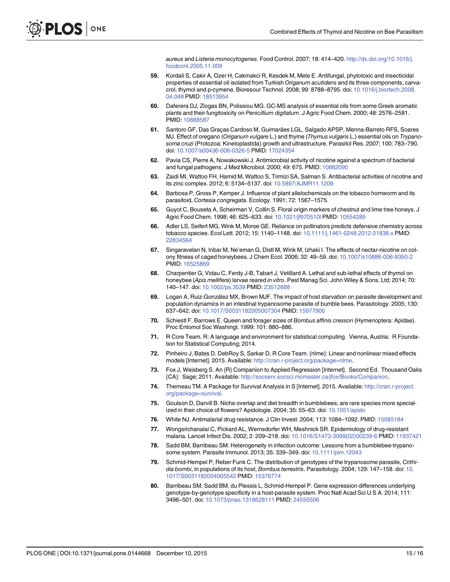aureus and Listeria monocytogenes. Food Control. 2007; 18: 414–420. [http://dx.doi.org/10.1016/j.](http://dx.doi.org/10.1016/j.foodcont.2005.11.009) [foodcont.2005.11.009](http://dx.doi.org/10.1016/j.foodcont.2005.11.009)

- <span id="page-15-0"></span>59. Kordali S, Cakir A, Ozer H, Cakmakci R, Kesdek M, Mete E. Antifungal, phytotoxic and insecticidal properties of essential oil isolated from Turkish Origanum acutidens and its three components, carvacrol, thymol and p-cymene. Bioresour Technol. 2008; 99: 8788–8795. doi: [10.1016/j.biortech.2008.](http://dx.doi.org/10.1016/j.biortech.2008.04.048) [04.048](http://dx.doi.org/10.1016/j.biortech.2008.04.048) PMID: [18513954](http://www.ncbi.nlm.nih.gov/pubmed/18513954)
- 60. Daferera DJ, Ziogas BN, Polissiou MG. GC-MS analysis of essential oils from some Greek aromatic plants and their fungitoxicity on Penicillium digitatum. J Agric Food Chem. 2000; 48: 2576–2581. PMID: [10888587](http://www.ncbi.nlm.nih.gov/pubmed/10888587)
- [61.](#page-4-0) Santoro GF, Das Graças Cardoso M, Guimarães LGL, Salgado APSP, Menna-Barreto RFS, Soares MJ. Effect of oregano (Origanum vulgare L.) and thyme (Thymus vulgaris L.) essential oils on Trypanosoma cruzi (Protozoa: Kinetoplastida) growth and ultrastructure. Parasitol Res. 2007; 100: 783–790. doi: [10.1007/s00436-006-0326-5](http://dx.doi.org/10.1007/s00436-006-0326-5) PMID: [17024354](http://www.ncbi.nlm.nih.gov/pubmed/17024354)
- [62.](#page-4-0) Pavia CS, Pierre A, Nowakowski J. Antimicrobial activity of nicotine against a spectrum of bacterial and fungal pathogens. J Med Microbiol. 2000; 49: 675. PMID: [10882095](http://www.ncbi.nlm.nih.gov/pubmed/10882095)
- [63.](#page-11-0) Zaidi MI, Wattoo FH, Hamid M, Wattoo S, Tirmizi SA, Salman S. Antibacterial activities of nicotine and its zinc complex. 2012; 6: 5134–5137. doi: [10.5897/AJMR11.1209](http://dx.doi.org/10.5897/AJMR11.1209)
- [64.](#page-4-0) Barbosa P, Gross P, Kemper J. Influence of plant allelochemicals on the tobacco hornworm and its parasitoid, Cortesia congregata. Ecology. 1991; 72: 1567–1575.
- [65.](#page-4-0) Guyot C, Bouseta A, Scheirman V, Collin S. Floral origin markers of chestnut and lime tree honeys. J Agric Food Chem. 1998; 46: 625–633. doi: [10.1021/jf970510l](http://dx.doi.org/10.1021/jf970510l) PMID: [10554289](http://www.ncbi.nlm.nih.gov/pubmed/10554289)
- [66.](#page-4-0) Adler LS, Seifert MG, Wink M, Morse GE. Reliance on pollinators predicts defensive chemistry across tobacco species. Ecol Lett. 2012; 15: 1140-1148. doi: [10.1111/j.1461-0248.2012.01838.x](http://dx.doi.org/10.1111/j.1461-0248.2012.01838.x) PMID: [22834564](http://www.ncbi.nlm.nih.gov/pubmed/22834564)
- [67.](#page-4-0) Singaravelan N, Inbar M, Ne'eman G, Distl M, Wink M, Izhaki I. The effects of nectar-nicotine on colony fitness of caged honeybees. J Chem Ecol. 2006; 32: 49–59. doi: [10.1007/s10886-006-9350-2](http://dx.doi.org/10.1007/s10886-006-9350-2) PMID: [16525869](http://www.ncbi.nlm.nih.gov/pubmed/16525869)
- [68.](#page-4-0) Charpentier G, Vidau C, Ferdy J-B, Tabart J, Vetillard A. Lethal and sub-lethal effects of thymol on honeybee (Apis mellifera) larvae reared in vitro. Pest Manag Sci. John Wiley & Sons, Ltd; 2014; 70: 140–147. doi: [10.1002/ps.3539](http://dx.doi.org/10.1002/ps.3539) PMID: [23512688](http://www.ncbi.nlm.nih.gov/pubmed/23512688)
- [69.](#page-5-0) Logan A, Ruiz-González MX, Brown MJF. The impact of host starvation on parasite development and population dynamics in an intestinal trypanosome parasite of bumble bees. Parasitology. 2005; 130: 637–642. doi: [10.1017/S0031182005007304](http://dx.doi.org/10.1017/S0031182005007304) PMID: [15977900](http://www.ncbi.nlm.nih.gov/pubmed/15977900)
- [70.](#page-5-0) Schiestl F, Barrows E. Queen and forager sizes of Bombus affinis cresson (Hymenoptera: Apidae). Proc Entomol Soc Washingt. 1999; 101: 880–886.
- [71.](#page-5-0) R Core Team. R: A language and environment for statistical computing. Vienna, Austria: R Foundation for Statistical Computing; 2014.
- [72.](#page-5-0) Pinheiro J, Bates D, DebRoy S, Sarkar D, R Core Team. {nlme}: Linear and nonlinear mixed effects models [Internet]. 2015. Available: <http://cran.r-project.org/package=nlme>.
- [73.](#page-5-0) Fox J, Weisberg S. An {R} Companion to Applied Regression [Internet]. Second Ed. Thousand Oaks {CA}: Sage; 2011. Available: [http://socserv.socsci.mcmaster.ca/jfox/Books/Companion.](http://socserv.socsci.mcmaster.ca/jfox/Books/Companion)
- [74.](#page-6-0) Therneau TM. A Package for Survival Analysis in S [Internet]. 2015. Available: [http://cran.r-project.](http://cran.r-project.org/package=survival) [org/package=survival](http://cran.r-project.org/package=survival).
- [75.](#page-6-0) Goulson D, Darvill B. Niche overlap and diet breadth in bumblebees; are rare species more specialized in their choice of flowers? Apidologie. 2004; 35: 55–63. doi: [10.1051/apido](http://dx.doi.org/10.1051/apido)
- [76.](#page-9-0) White NJ. Antimalarial drug resistance. J Clin Invest. 2004; 113: 1084–1092. PMID: [15085184](http://www.ncbi.nlm.nih.gov/pubmed/15085184)
- [77.](#page-9-0) Wongsrichanalai C, Pickard AL, Wernsdorfer WH, Meshnick SR. Epidemiology of drug-resistant malaria. Lancet Infect Dis. 2002; 2: 209–218. doi: [10.1016/S1473-3099\(02\)00239-6](http://dx.doi.org/10.1016/S1473-3099(02)00239-6) PMID: [11937421](http://www.ncbi.nlm.nih.gov/pubmed/11937421)
- [78.](#page-9-0) Sadd BM, Barribeau SM. Heterogeneity in infection outcome: Lessons from a bumblebee-trypanosome system. Parasite Immunol. 2013; 35: 339–349. doi: [10.1111/pim.12043](http://dx.doi.org/10.1111/pim.12043)
- 79. Schmid-Hempel P, Reber Funk C. The distribution of genotypes of the trypanosome parasite, Crithi-dia bombi, in populations of its host, Bombus terrestris. Parasitology. 2004; 129: 147-158. doi: [10.](http://dx.doi.org/10.1017/S0031182004005542) [1017/S0031182004005542](http://dx.doi.org/10.1017/S0031182004005542) PMID: [15376774](http://www.ncbi.nlm.nih.gov/pubmed/15376774)
- [80.](#page-10-0) Barribeau SM, Sadd BM, du Plessis L, Schmid-Hempel P. Gene expression differences underlying genotype-by-genotype specificity in a host-parasite system. Proc Natl Acad Sci U S A. 2014; 111: 3496–501. doi: [10.1073/pnas.1318628111](http://dx.doi.org/10.1073/pnas.1318628111) PMID: [24550506](http://www.ncbi.nlm.nih.gov/pubmed/24550506)